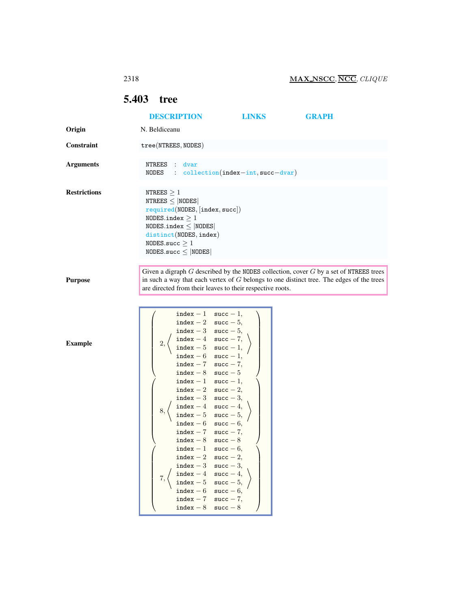## <span id="page-0-0"></span>5.403 tree

|                     | <b>DESCRIPTION</b>                                                                                                                                                                                                                                                                                                                                                                                                                                                                                                                                                                                                                                                                 | <b>LINKS</b>                          | <b>GRAPH</b>                                                                                                                                                                            |
|---------------------|------------------------------------------------------------------------------------------------------------------------------------------------------------------------------------------------------------------------------------------------------------------------------------------------------------------------------------------------------------------------------------------------------------------------------------------------------------------------------------------------------------------------------------------------------------------------------------------------------------------------------------------------------------------------------------|---------------------------------------|-----------------------------------------------------------------------------------------------------------------------------------------------------------------------------------------|
| Origin              | N. Beldiceanu                                                                                                                                                                                                                                                                                                                                                                                                                                                                                                                                                                                                                                                                      |                                       |                                                                                                                                                                                         |
| Constraint          | tree(NTREES, NODES)                                                                                                                                                                                                                                                                                                                                                                                                                                                                                                                                                                                                                                                                |                                       |                                                                                                                                                                                         |
| <b>Arguments</b>    | NTREES<br>$\mathbb{Z}^{\times}$<br>dvar<br>NODES                                                                                                                                                                                                                                                                                                                                                                                                                                                                                                                                                                                                                                   | $: $ collection(index-int, succ-dvar) |                                                                                                                                                                                         |
| <b>Restrictions</b> | NTREES $\geq 1$<br>NTREES $\leq$  NODES <br>required(NODES, [index, succ])<br>NODES.index $\geq 1$<br>NODES.index $\leq$  NODES <br>distinct(NODES, index)<br>NODES.succ $\geq 1$<br>NODES.succ $\leq$ NODES                                                                                                                                                                                                                                                                                                                                                                                                                                                                       |                                       |                                                                                                                                                                                         |
| <b>Purpose</b>      | are directed from their leaves to their respective roots.                                                                                                                                                                                                                                                                                                                                                                                                                                                                                                                                                                                                                          |                                       | Given a digraph $G$ described by the NODES collection, cover $G$ by a set of NTREES trees<br>in such a way that each vertex of $G$ belongs to one distinct tree. The edges of the trees |
| <b>Example</b>      | index - 1 succ - 1,<br>index $-2$ succ $-5$ ,<br>$\mathtt{index} - 3 \quad \mathtt{succ} - 5,$<br>$\mathtt{index} - 4 \quad \mathtt{succ} - 7,$<br>2,<br>index $-5$ succ $-1$ ,<br>index $-6$ succ $-1$ ,<br>index - 7 succ - 7,<br>index $-8$ succ $-5$<br>index $-1$ succ $-1$ ,<br>index - 2 succ - 2,<br>index $-3$ succ $-3$ ,<br>index $-4$ succ $-4$ ,<br>8,<br>index - 5 succ - 5,<br>index $-6$ succ $-6$ ,<br>index $-7$ succ $-7$ ,<br>$index - 8$ succ $-8$<br>index $-1$ succ $-6$ ,<br>index $-2$ succ $-2$ ,<br>index - 3 succ - 3,<br>$index - 4$ succ - 4,<br>7,<br>index - 5 succ - 5,<br>index - 6 succ - 6,<br>index $-7$ succ $-7$ ,<br>$index - 8$ succ $-8$ |                                       |                                                                                                                                                                                         |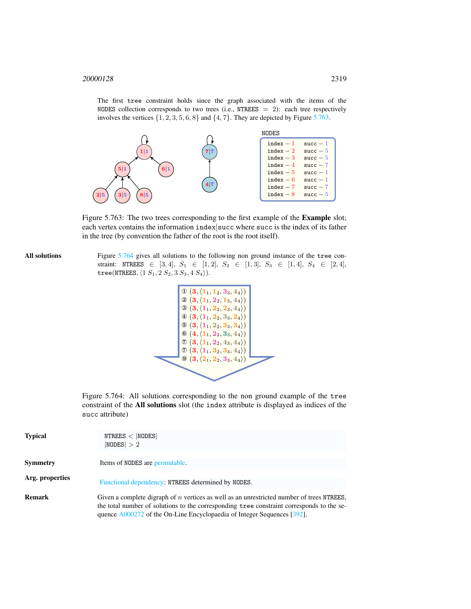The first tree constraint holds since the graph associated with the items of the NODES collection corresponds to two trees (i.e., NTREES = 2): each tree respectively involves the vertices  $\{1, 2, 3, 5, 6, 8\}$  and  $\{4, 7\}$ . They are depicted by Figure [5.763.](#page-1-0)



<span id="page-1-0"></span>Figure 5.763: The two trees corresponding to the first example of the Example slot; each vertex contains the information index succ where succ is the index of its father in the tree (by convention the father of the root is the root itself).

All solutions Figure [5.764](#page-1-1) gives all solutions to the following non ground instance of the tree constraint: NTREES  $\in$  [3, 4],  $S_1$   $\in$  [1, 2],  $S_2$   $\in$  [1, 3],  $S_3$   $\in$  [1, 4],  $S_4$   $\in$  [2, 4], tree(NTREES,  $\langle 1 S_1, 2 S_2, 3 S_3, 4 S_4 \rangle$ ).

$$
\begin{array}{|l} \hline \mathbb{O} & (3,\langle 1_1,1_2,3_3,4_4\rangle) \\ \hline \mathbb{O} & (3,\langle 1_1,2_2,1_3,4_4\rangle) \\ \hline \mathbb{O} & (3,\langle 1_1,2_2,2_3,4_4\rangle) \\ \hline \mathbb{O} & (3,\langle 1_1,2_2,3_3,2_4\rangle) \\ \hline \mathbb{O} & (3,\langle 1_1,2_2,3_3,3_4\rangle) \\ \hline \mathbb{O} & (3,\langle 1_1,2_2,3_3,4_4\rangle) \\ \hline \mathbb{O} & (3,\langle 1_1,2_2,4_3,4_4\rangle) \\ \hline \mathbb{O} & (3,\langle 1_1,3_2,3_3,4_4\rangle) \\ \hline \mathbb{O} & (3,\langle 2_1,2_2,3_3,4_4\rangle) \\ \hline \end{array}
$$

<span id="page-1-1"></span>Figure 5.764: All solutions corresponding to the non ground example of the tree constraint of the All solutions slot (the index attribute is displayed as indices of the succ attribute)

| <b>Typical</b>  | NTREES <  NODES <br> NODES  > 2                                                                                                                                                                                                                                            |
|-----------------|----------------------------------------------------------------------------------------------------------------------------------------------------------------------------------------------------------------------------------------------------------------------------|
| <b>Symmetry</b> | Items of NODES are permutable.                                                                                                                                                                                                                                             |
| Arg. properties | Functional dependency: NTREES determined by NODES.                                                                                                                                                                                                                         |
| Remark          | Given a complete digraph of <i>n</i> vertices as well as an unrestricted number of trees NTREES,<br>the total number of solutions to the corresponding tree constraint corresponds to the se-<br>quence $A000272$ of the On-Line Encyclopaedia of Integer Sequences [392]. |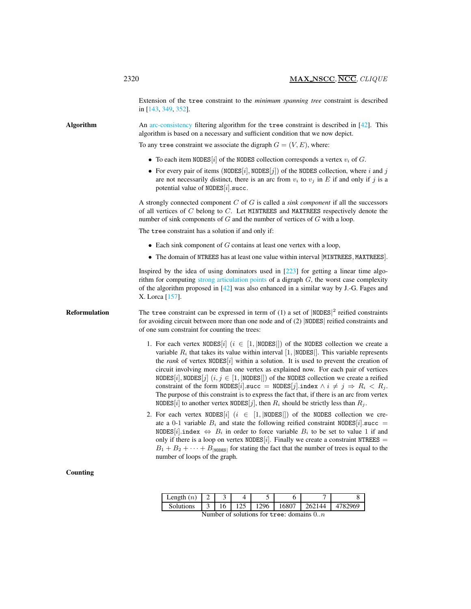Extension of the tree constraint to the *minimum spanning tree* constraint is described in [143, 349, 352].

Algorithm An arc-consistency filtering algorithm for the tree constraint is described in [42]. This algorithm is based on a necessary and sufficient condition that we now depict.

To any tree constraint we associate the digraph  $G = (V, E)$ , where:

- To each item NODES [i] of the NODES collection corresponds a vertex  $v_i$  of G.
- For every pair of items (NODES[i], NODES[j]) of the NODES collection, where i and j are not necessarily distinct, there is an arc from  $v_i$  to  $v_j$  in E if and only if j is a potential value of  $NODES[i].succ.$

A strongly connected component C of G is called a *sink component* if all the successors of all vertices of C belong to C. Let MINTREES and MAXTREES respectively denote the number of sink components of G and the number of vertices of G with a loop.

The tree constraint has a solution if and only if:

- Each sink component of  $G$  contains at least one vertex with a loop,
- The domain of NTREES has at least one value within interval [MINTREES, MAXTREES].

Inspired by the idea of using dominators used in  $[223]$  for getting a linear time algorithm for computing strong articulation points of a digraph  $G$ , the worst case complexity of the algorithm proposed in  $[42]$  was also enhanced in a similar way by J.-G. Fages and X. Lorca [157].

**Reformulation** The tree constraint can be expressed in term of (1) a set of  $|NODES|^2$  reified constraints for avoiding circuit between more than one node and of (2) |NODES| reified constraints and of one sum constraint for counting the trees:

- 1. For each vertex NODES[i] ( $i \in [1, | \text{NODES} |]$ ) of the NODES collection we create a variable  $R_i$  that takes its value within interval [1, |NODES|]. This variable represents the *rank* of vertex NODES $[i]$  within a solution. It is used to prevent the creation of circuit involving more than one vertex as explained now. For each pair of vertices NODES[i], NODES[j]  $(i, j \in [1, \text{NODES}])$  of the NODES collection we create a reified constraint of the form NODES[i].succ = NODES[j].index  $\wedge i \neq j \Rightarrow R_i < R_j$ . The purpose of this constraint is to express the fact that, if there is an arc from vertex NODES[i] to another vertex NODES[j], then  $R_i$  should be strictly less than  $R_i$ .
- 2. For each vertex NODES[i]  $(i \in [1, | \text{NODES} |))$  of the NODES collection we create a 0-1 variable  $B_i$  and state the following reified constraint NODES[i].succ = NODES[i].index  $\Leftrightarrow$   $B_i$  in order to force variable  $B_i$  to be set to value 1 if and only if there is a loop on vertex NODES[i]. Finally we create a constraint NTREES =  $B_1 + B_2 + \cdots + B_{\text{INDES}}$  for stating the fact that the number of trees is equal to the number of loops of the graph.

| $\text{Length}(n)$ |    |     |      |       |        |         |
|--------------------|----|-----|------|-------|--------|---------|
| Solutions          | 16 | 125 | 1296 | 16807 | 262144 | 4782969 |

Number of solutions for tree: domains  $0..n$ 

Counting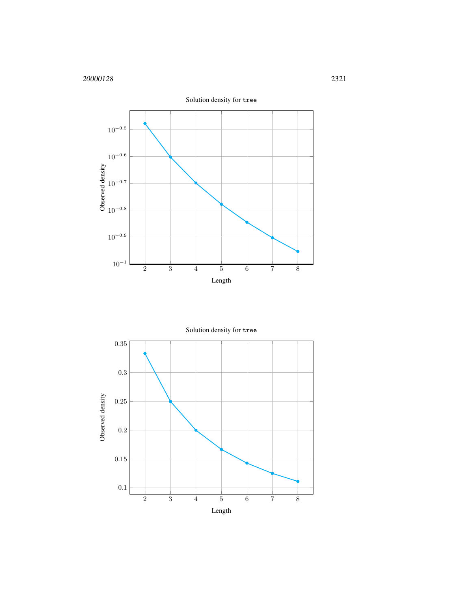

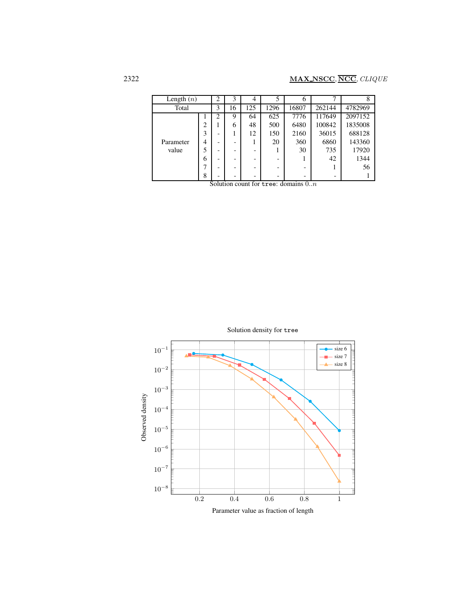| Length $(n)$ |   | $\overline{2}$           | 3  | $\overline{4}$ | 5    | 6     |        | 8       |
|--------------|---|--------------------------|----|----------------|------|-------|--------|---------|
| Total        |   | 3                        | 16 | 125            | 1296 | 16807 | 262144 | 4782969 |
|              |   | າ                        | 9  | 64             | 625  | 7776  | 117649 | 2097152 |
|              | 2 |                          | 6  | 48             | 500  | 6480  | 100842 | 1835008 |
|              | 3 | -                        |    | 12             | 150  | 2160  | 36015  | 688128  |
| Parameter    | 4 | -                        |    |                | 20   | 360   | 6860   | 143360  |
| value        | 5 | $\overline{\phantom{0}}$ |    |                |      | 30    | 735    | 17920   |
|              | 6 | $\overline{\phantom{0}}$ |    |                | -    |       | 42     | 1344    |
|              |   |                          |    |                |      |       |        | 56      |
|              | 8 |                          |    |                |      |       |        |         |

Solution count for tree: domains  $0..n$ 

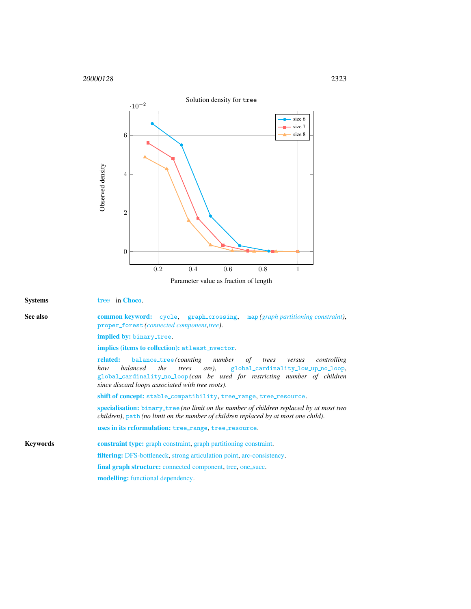

Parameter value as fraction of length

<span id="page-5-0"></span>

| <b>Systems</b>  | tree in Choco.                                                                                                                                                                                                                                                                                                   |  |  |  |  |  |
|-----------------|------------------------------------------------------------------------------------------------------------------------------------------------------------------------------------------------------------------------------------------------------------------------------------------------------------------|--|--|--|--|--|
| See also        | <b>common keyword:</b> cycle, graph_crossing, map(graph partitioning constraint),<br>proper_forest (connected component, tree).                                                                                                                                                                                  |  |  |  |  |  |
|                 | implied by: binary_tree.<br>implies (items to collection): at least_nvector.                                                                                                                                                                                                                                     |  |  |  |  |  |
|                 |                                                                                                                                                                                                                                                                                                                  |  |  |  |  |  |
|                 | <b>balance_tree</b> (counting number of trees<br><b>related:</b><br>controlling<br>versus<br>are), global_cardinality_low_up_no_loop,<br><i>balanced</i><br>the<br>trees<br>how<br>global_cardinality_no_loop(can be used for restricting number of children<br>since discard loops associated with tree roots). |  |  |  |  |  |
|                 | shift of concept: stable_compatibility, tree_range, tree_resource.                                                                                                                                                                                                                                               |  |  |  |  |  |
|                 | specialisation: binary_tree (no limit on the number of children replaced by at most two<br>children), path (no limit on the number of children replaced by at most one child).                                                                                                                                   |  |  |  |  |  |
|                 | uses in its reformulation: tree_range, tree_resource.                                                                                                                                                                                                                                                            |  |  |  |  |  |
| <b>Keywords</b> | <b>constraint type:</b> graph constraint, graph partitioning constraint.                                                                                                                                                                                                                                         |  |  |  |  |  |
|                 | <b>filtering:</b> DFS-bottleneck, strong articulation point, arc-consistency.                                                                                                                                                                                                                                    |  |  |  |  |  |
|                 | final graph structure: connected component, tree, one_succ.                                                                                                                                                                                                                                                      |  |  |  |  |  |
|                 | <b>modelling:</b> functional dependency.                                                                                                                                                                                                                                                                         |  |  |  |  |  |
|                 |                                                                                                                                                                                                                                                                                                                  |  |  |  |  |  |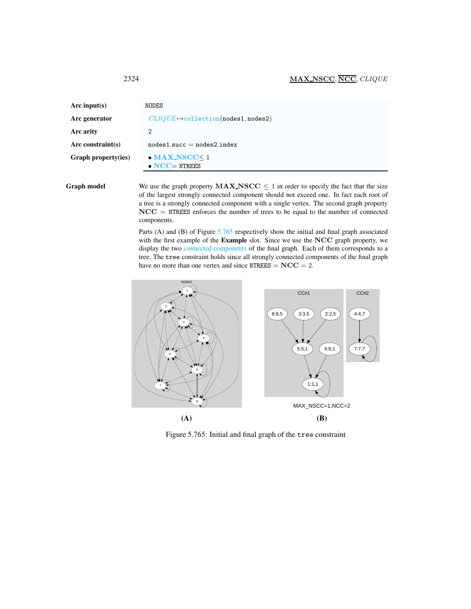<span id="page-6-0"></span>

| Arc input(s)               | NODES                                                |
|----------------------------|------------------------------------------------------|
| Arc generator              | $CLIQUE \rightarrow collection(nodes1, nodes2)$      |
| Arc arity                  | 2                                                    |
| Arc constraint(s)          | $nodes1.succ = nodes2.index$                         |
| <b>Graph property(ies)</b> | $\bullet$ MAX_NSCC $\leq$ 1<br>$\bullet$ NCC= NTREES |

Graph model We use the graph property  $MAX\_NSCC \leq 1$  in order to specify the fact that the size of the largest strongly connected component should not exceed one. In fact each root of a tree is a strongly connected component with a single vertex. The second graph property NCC = NTREES enforces the number of trees to be equal to the number of connected components.

> Parts (A) and (B) of Figure [5.765](#page-6-1) respectively show the initial and final graph associated with the first example of the Example slot. Since we use the NCC graph property, we display the two connected components of the final graph. Each of them corresponds to a tree. The tree constraint holds since all strongly connected components of the final graph have no more than one vertex and since  $NTRES = NCC = 2$ .



<span id="page-6-1"></span>Figure 5.765: Initial and final graph of the tree constraint